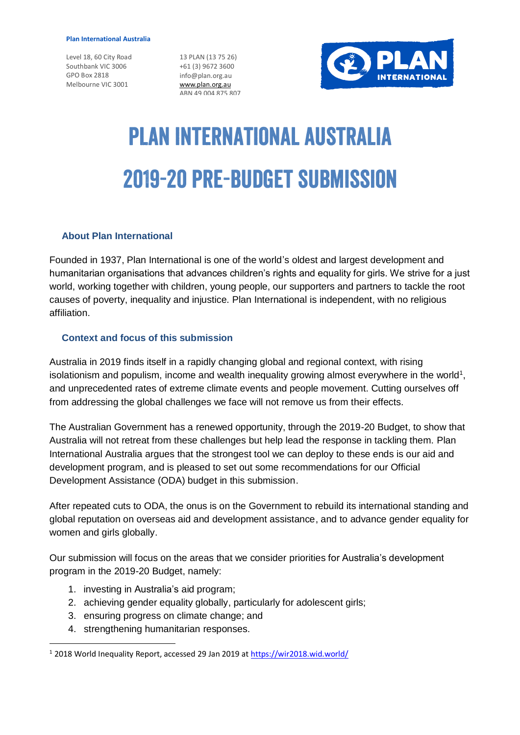#### **Plan International Australia**

Level 18, 60 City Road Southbank VIC 3006 GPO Box 2818 Melbourne VIC 3001

13 PLAN (13 75 26) +61 (3) 9672 3600 info@plan.org.au [www.plan.org.au](http://www.plan.org.au/) ABN 49 004 875 807



# **PLAN INTERNATIONAL AUSTRALIA 2019-20 PRE-BUDGET SUBMISSION**

#### **About Plan International**

Founded in 1937, Plan International is one of the world's oldest and largest development and humanitarian organisations that advances children's rights and equality for girls. We strive for a just world, working together with children, young people, our supporters and partners to tackle the root causes of poverty, inequality and injustice. Plan International is independent, with no religious affiliation.

#### **Context and focus of this submission**

Australia in 2019 finds itself in a rapidly changing global and regional context, with rising isolationism and populism, income and wealth inequality growing almost everywhere in the world<sup>1</sup>, and unprecedented rates of extreme climate events and people movement. Cutting ourselves off from addressing the global challenges we face will not remove us from their effects.

The Australian Government has a renewed opportunity, through the 2019-20 Budget, to show that Australia will not retreat from these challenges but help lead the response in tackling them. Plan International Australia argues that the strongest tool we can deploy to these ends is our aid and development program, and is pleased to set out some recommendations for our Official Development Assistance (ODA) budget in this submission.

After repeated cuts to ODA, the onus is on the Government to rebuild its international standing and global reputation on overseas aid and development assistance, and to advance gender equality for women and girls globally.

Our submission will focus on the areas that we consider priorities for Australia's development program in the 2019-20 Budget, namely:

- 1. investing in Australia's aid program;
- 2. achieving gender equality globally, particularly for adolescent girls;
- 3. ensuring progress on climate change; and
- 4. strengthening humanitarian responses.

1

<sup>&</sup>lt;sup>1</sup> 2018 World Inequality Report, accessed 29 Jan 2019 at<https://wir2018.wid.world/>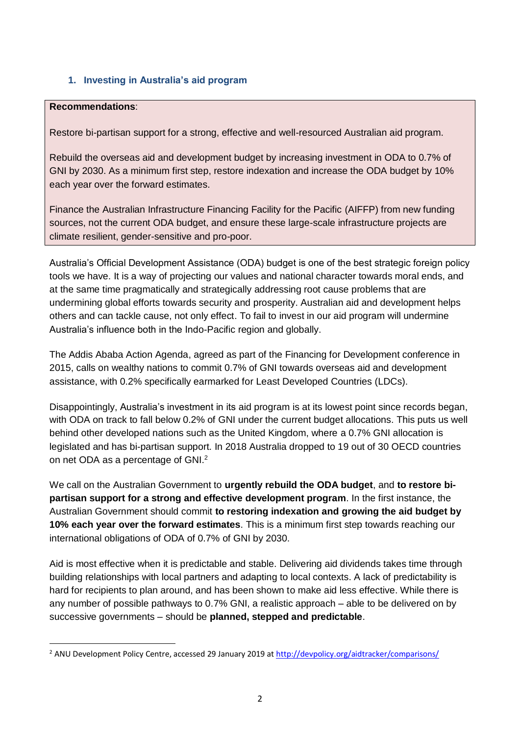# **1. Investing in Australia's aid program**

#### **Recommendations**:

1

Restore bi-partisan support for a strong, effective and well-resourced Australian aid program.

Rebuild the overseas aid and development budget by increasing investment in ODA to 0.7% of GNI by 2030. As a minimum first step, restore indexation and increase the ODA budget by 10% each year over the forward estimates.

Finance the Australian Infrastructure Financing Facility for the Pacific (AIFFP) from new funding sources, not the current ODA budget, and ensure these large-scale infrastructure projects are climate resilient, gender-sensitive and pro-poor.

Australia's Official Development Assistance (ODA) budget is one of the best strategic foreign policy tools we have. It is a way of projecting our values and national character towards moral ends, and at the same time pragmatically and strategically addressing root cause problems that are undermining global efforts towards security and prosperity. Australian aid and development helps others and can tackle cause, not only effect. To fail to invest in our aid program will undermine Australia's influence both in the Indo-Pacific region and globally.

The Addis Ababa Action Agenda, agreed as part of the Financing for Development conference in 2015, calls on wealthy nations to commit 0.7% of GNI towards overseas aid and development assistance, with 0.2% specifically earmarked for Least Developed Countries (LDCs).

Disappointingly, Australia's investment in its aid program is at its lowest point since records began, with ODA on track to fall below 0.2% of GNI under the current budget allocations. This puts us well behind other developed nations such as the United Kingdom, where a 0.7% GNI allocation is legislated and has bi-partisan support. In 2018 Australia dropped to 19 out of 30 OECD countries on net ODA as a percentage of GNI.<sup>2</sup>

We call on the Australian Government to **urgently rebuild the ODA budget**, and **to restore bipartisan support for a strong and effective development program**. In the first instance, the Australian Government should commit **to restoring indexation and growing the aid budget by 10% each year over the forward estimates**. This is a minimum first step towards reaching our international obligations of ODA of 0.7% of GNI by 2030.

Aid is most effective when it is predictable and stable. Delivering aid dividends takes time through building relationships with local partners and adapting to local contexts. A lack of predictability is hard for recipients to plan around, and has been shown to make aid less effective. While there is any number of possible pathways to 0.7% GNI, a realistic approach – able to be delivered on by successive governments – should be **planned, stepped and predictable**.

<sup>&</sup>lt;sup>2</sup> ANU Development Policy Centre, accessed 29 January 2019 at <http://devpolicy.org/aidtracker/comparisons/>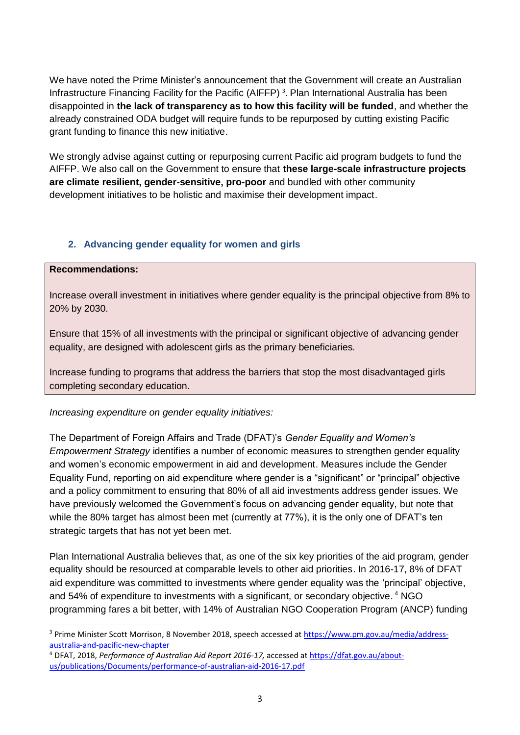We have noted the Prime Minister's announcement that the Government will create an Australian Infrastructure Financing Facility for the Pacific (AIFFP)<sup>3</sup>. Plan International Australia has been disappointed in **the lack of transparency as to how this facility will be funded**, and whether the already constrained ODA budget will require funds to be repurposed by cutting existing Pacific grant funding to finance this new initiative.

We strongly advise against cutting or repurposing current Pacific aid program budgets to fund the AIFFP. We also call on the Government to ensure that **these large-scale infrastructure projects are climate resilient, gender-sensitive, pro-poor** and bundled with other community development initiatives to be holistic and maximise their development impact.

# **2. Advancing gender equality for women and girls**

#### **Recommendations:**

1

Increase overall investment in initiatives where gender equality is the principal objective from 8% to 20% by 2030.

Ensure that 15% of all investments with the principal or significant objective of advancing gender equality, are designed with adolescent girls as the primary beneficiaries.

Increase funding to programs that address the barriers that stop the most disadvantaged girls completing secondary education.

### *Increasing expenditure on gender equality initiatives:*

The Department of Foreign Affairs and Trade (DFAT)'s *Gender Equality and Women's Empowerment Strategy* identifies a number of economic measures to strengthen gender equality and women's economic empowerment in aid and development. Measures include the Gender Equality Fund, reporting on aid expenditure where gender is a "significant" or "principal" objective and a policy commitment to ensuring that 80% of all aid investments address gender issues. We have previously welcomed the Government's focus on advancing gender equality, but note that while the 80% target has almost been met (currently at 77%), it is the only one of DFAT's ten strategic targets that has not yet been met.

Plan International Australia believes that, as one of the six key priorities of the aid program, gender equality should be resourced at comparable levels to other aid priorities. In 2016-17, 8% of DFAT aid expenditure was committed to investments where gender equality was the 'principal' objective, and 54% of expenditure to investments with a significant, or secondary objective. <sup>4</sup> NGO programming fares a bit better, with 14% of Australian NGO Cooperation Program (ANCP) funding

<sup>3</sup> Prime Minister Scott Morrison, 8 November 2018, speech accessed a[t https://www.pm.gov.au/media/address](https://www.pm.gov.au/media/address-australia-and-pacific-new-chapter)[australia-and-pacific-new-chapter](https://www.pm.gov.au/media/address-australia-and-pacific-new-chapter)

<sup>4</sup> DFAT, 2018, *Performance of Australian Aid Report 2016-17,* accessed a[t https://dfat.gov.au/about](https://dfat.gov.au/about-us/publications/Documents/performance-of-australian-aid-2016-17.pdf)[us/publications/Documents/performance-of-australian-aid-2016-17.pdf](https://dfat.gov.au/about-us/publications/Documents/performance-of-australian-aid-2016-17.pdf)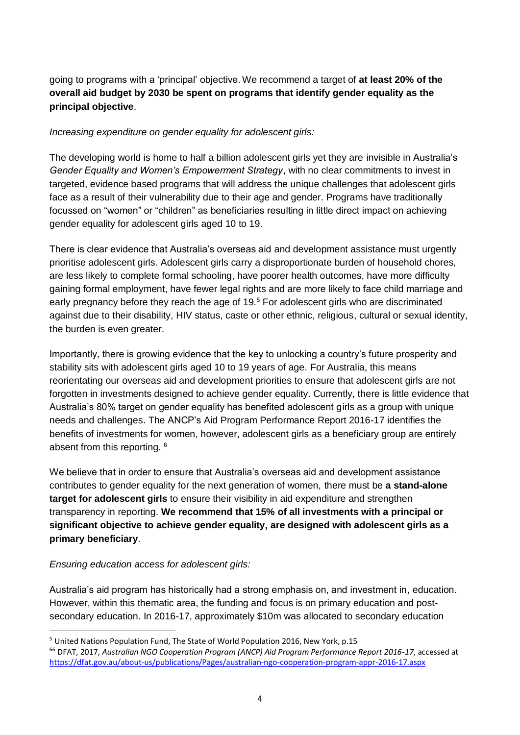going to programs with a 'principal' objective. We recommend a target of **at least 20% of the overall aid budget by 2030 be spent on programs that identify gender equality as the principal objective**.

# *Increasing expenditure on gender equality for adolescent girls:*

The developing world is home to half a billion adolescent girls yet they are invisible in Australia's *Gender Equality and Women's Empowerment Strategy*, with no clear commitments to invest in targeted, evidence based programs that will address the unique challenges that adolescent girls face as a result of their vulnerability due to their age and gender. Programs have traditionally focussed on "women" or "children" as beneficiaries resulting in little direct impact on achieving gender equality for adolescent girls aged 10 to 19.

There is clear evidence that Australia's overseas aid and development assistance must urgently prioritise adolescent girls. Adolescent girls carry a disproportionate burden of household chores, are less likely to complete formal schooling, have poorer health outcomes, have more difficulty gaining formal employment, have fewer legal rights and are more likely to face child marriage and early pregnancy before they reach the age of 19.<sup>5</sup> For adolescent girls who are discriminated against due to their disability, HIV status, caste or other ethnic, religious, cultural or sexual identity, the burden is even greater.

Importantly, there is growing evidence that the key to unlocking a country's future prosperity and stability sits with adolescent girls aged 10 to 19 years of age. For Australia, this means reorientating our overseas aid and development priorities to ensure that adolescent girls are not forgotten in investments designed to achieve gender equality. Currently, there is little evidence that Australia's 80% target on gender equality has benefited adolescent girls as a group with unique needs and challenges. The ANCP's Aid Program Performance Report 2016-17 identifies the benefits of investments for women, however, adolescent girls as a beneficiary group are entirely absent from this reporting. <sup>6</sup>

We believe that in order to ensure that Australia's overseas aid and development assistance contributes to gender equality for the next generation of women, there must be **a stand-alone target for adolescent girls** to ensure their visibility in aid expenditure and strengthen transparency in reporting. **We recommend that 15% of all investments with a principal or significant objective to achieve gender equality, are designed with adolescent girls as a primary beneficiary**.

### *Ensuring education access for adolescent girls:*

Australia's aid program has historically had a strong emphasis on, and investment in, education. However, within this thematic area, the funding and focus is on primary education and postsecondary education. In 2016-17, approximately \$10m was allocated to secondary education

<sup>1</sup> <sup>5</sup> United Nations Population Fund, The State of World Population 2016, New York, p.15

<sup>66</sup> DFAT, 2017, *Australian NGO Cooperation Program (ANCP) Aid Program Performance Report 2016-17*, accessed at <https://dfat.gov.au/about-us/publications/Pages/australian-ngo-cooperation-program-appr-2016-17.aspx>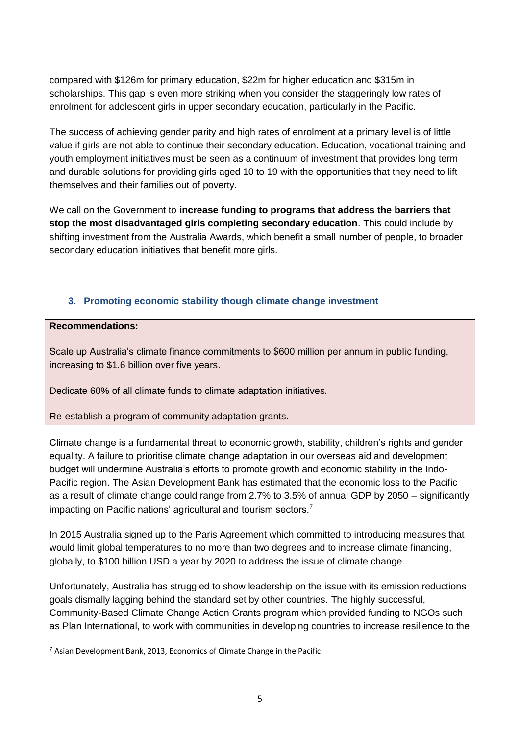compared with \$126m for primary education, \$22m for higher education and \$315m in scholarships. This gap is even more striking when you consider the staggeringly low rates of enrolment for adolescent girls in upper secondary education, particularly in the Pacific.

The success of achieving gender parity and high rates of enrolment at a primary level is of little value if girls are not able to continue their secondary education. Education, vocational training and youth employment initiatives must be seen as a continuum of investment that provides long term and durable solutions for providing girls aged 10 to 19 with the opportunities that they need to lift themselves and their families out of poverty.

We call on the Government to **increase funding to programs that address the barriers that stop the most disadvantaged girls completing secondary education**. This could include by shifting investment from the Australia Awards, which benefit a small number of people, to broader secondary education initiatives that benefit more girls.

# **3. Promoting economic stability though climate change investment**

#### **Recommendations:**

Scale up Australia's climate finance commitments to \$600 million per annum in public funding, increasing to \$1.6 billion over five years.

Dedicate 60% of all climate funds to climate adaptation initiatives.

Re-establish a program of community adaptation grants.

Climate change is a fundamental threat to economic growth, stability, children's rights and gender equality. A failure to prioritise climate change adaptation in our overseas aid and development budget will undermine Australia's efforts to promote growth and economic stability in the Indo-Pacific region. The Asian Development Bank has estimated that the economic loss to the Pacific as a result of climate change could range from 2.7% to 3.5% of annual GDP by 2050 – significantly impacting on Pacific nations' agricultural and tourism sectors.<sup>7</sup>

In 2015 Australia signed up to the Paris Agreement which committed to introducing measures that would limit global temperatures to no more than two degrees and to increase climate financing, globally, to \$100 billion USD a year by 2020 to address the issue of climate change.

Unfortunately, Australia has struggled to show leadership on the issue with its emission reductions goals dismally lagging behind the standard set by other countries. The highly successful, Community-Based Climate Change Action Grants program which provided funding to NGOs such as Plan International, to work with communities in developing countries to increase resilience to the

**<sup>.</sup>**  $7$  Asian Development Bank, 2013, Economics of Climate Change in the Pacific.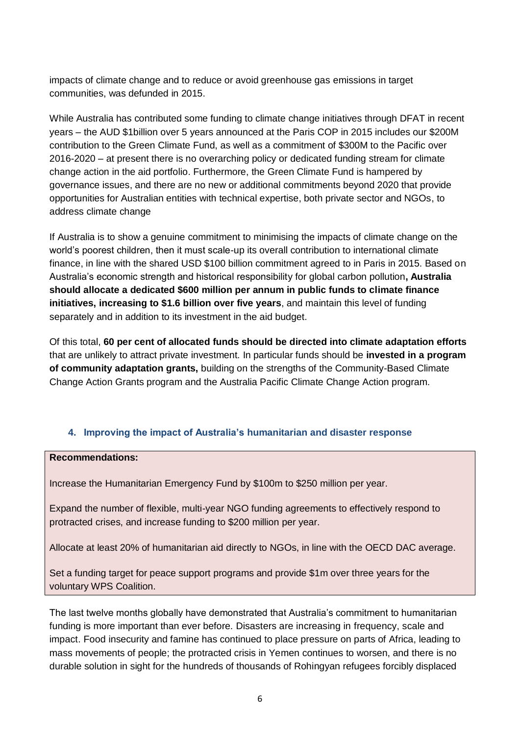impacts of climate change and to reduce or avoid greenhouse gas emissions in target communities, was defunded in 2015.

While Australia has contributed some funding to climate change initiatives through DFAT in recent years – the AUD \$1billion over 5 years announced at the Paris COP in 2015 includes our \$200M contribution to the Green Climate Fund, as well as a commitment of \$300M to the Pacific over 2016-2020 – at present there is no overarching policy or dedicated funding stream for climate change action in the aid portfolio. Furthermore, the Green Climate Fund is hampered by governance issues, and there are no new or additional commitments beyond 2020 that provide opportunities for Australian entities with technical expertise, both private sector and NGOs, to address climate change

If Australia is to show a genuine commitment to minimising the impacts of climate change on the world's poorest children, then it must scale-up its overall contribution to international climate finance, in line with the shared USD \$100 billion commitment agreed to in Paris in 2015. Based on Australia's economic strength and historical responsibility for global carbon pollution**, Australia should allocate a dedicated \$600 million per annum in public funds to climate finance initiatives, increasing to \$1.6 billion over five years**, and maintain this level of funding separately and in addition to its investment in the aid budget.

Of this total, **60 per cent of allocated funds should be directed into climate adaptation efforts** that are unlikely to attract private investment. In particular funds should be **invested in a program of community adaptation grants,** building on the strengths of the Community-Based Climate Change Action Grants program and the Australia Pacific Climate Change Action program.

# **4. Improving the impact of Australia's humanitarian and disaster response**

# **Recommendations:**

Increase the Humanitarian Emergency Fund by \$100m to \$250 million per year.

Expand the number of flexible, multi-year NGO funding agreements to effectively respond to protracted crises, and increase funding to \$200 million per year.

Allocate at least 20% of humanitarian aid directly to NGOs, in line with the OECD DAC average.

Set a funding target for peace support programs and provide \$1m over three years for the voluntary WPS Coalition.

The last twelve months globally have demonstrated that Australia's commitment to humanitarian funding is more important than ever before. Disasters are increasing in frequency, scale and impact. Food insecurity and famine has continued to place pressure on parts of Africa, leading to mass movements of people; the protracted crisis in Yemen continues to worsen, and there is no durable solution in sight for the hundreds of thousands of Rohingyan refugees forcibly displaced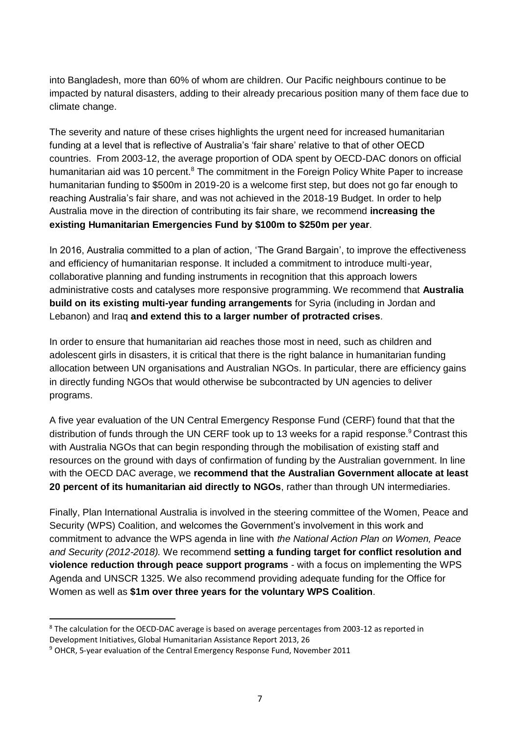into Bangladesh, more than 60% of whom are children. Our Pacific neighbours continue to be impacted by natural disasters, adding to their already precarious position many of them face due to climate change.

The severity and nature of these crises highlights the urgent need for increased humanitarian funding at a level that is reflective of Australia's 'fair share' relative to that of other OECD countries. From 2003-12, the average proportion of ODA spent by OECD-DAC donors on official humanitarian aid was 10 percent.<sup>8</sup> The commitment in the Foreign Policy White Paper to increase humanitarian funding to \$500m in 2019-20 is a welcome first step, but does not go far enough to reaching Australia's fair share, and was not achieved in the 2018-19 Budget. In order to help Australia move in the direction of contributing its fair share, we recommend **increasing the existing Humanitarian Emergencies Fund by \$100m to \$250m per year**.

In 2016, Australia committed to a plan of action, 'The Grand Bargain', to improve the effectiveness and efficiency of humanitarian response. It included a commitment to introduce multi-year, collaborative planning and funding instruments in recognition that this approach lowers administrative costs and catalyses more responsive programming. We recommend that **Australia build on its existing multi-year funding arrangements** for Syria (including in Jordan and Lebanon) and Iraq **and extend this to a larger number of protracted crises**.

In order to ensure that humanitarian aid reaches those most in need, such as children and adolescent girls in disasters, it is critical that there is the right balance in humanitarian funding allocation between UN organisations and Australian NGOs. In particular, there are efficiency gains in directly funding NGOs that would otherwise be subcontracted by UN agencies to deliver programs.

A five year evaluation of the UN Central Emergency Response Fund (CERF) found that that the distribution of funds through the UN CERF took up to 13 weeks for a rapid response.<sup>9</sup> Contrast this with Australia NGOs that can begin responding through the mobilisation of existing staff and resources on the ground with days of confirmation of funding by the Australian government. In line with the OECD DAC average, we **recommend that the Australian Government allocate at least 20 percent of its humanitarian aid directly to NGOs**, rather than through UN intermediaries.

Finally, Plan International Australia is involved in the steering committee of the Women, Peace and Security (WPS) Coalition, and welcomes the Government's involvement in this work and commitment to advance the WPS agenda in line with *the National Action Plan on Women, Peace and Security (2012-2018).* We recommend **setting a funding target for conflict resolution and violence reduction through peace support programs** - with a focus on implementing the WPS Agenda and UNSCR 1325. We also recommend providing adequate funding for the Office for Women as well as **\$1m over three years for the voluntary WPS Coalition**.

<sup>1</sup> <sup>8</sup> The calculation for the OECD-DAC average is based on average percentages from 2003-12 as reported in Development Initiatives, Global Humanitarian Assistance Report 2013, 26

<sup>9</sup> OHCR, 5-year evaluation of the Central Emergency Response Fund, November 2011